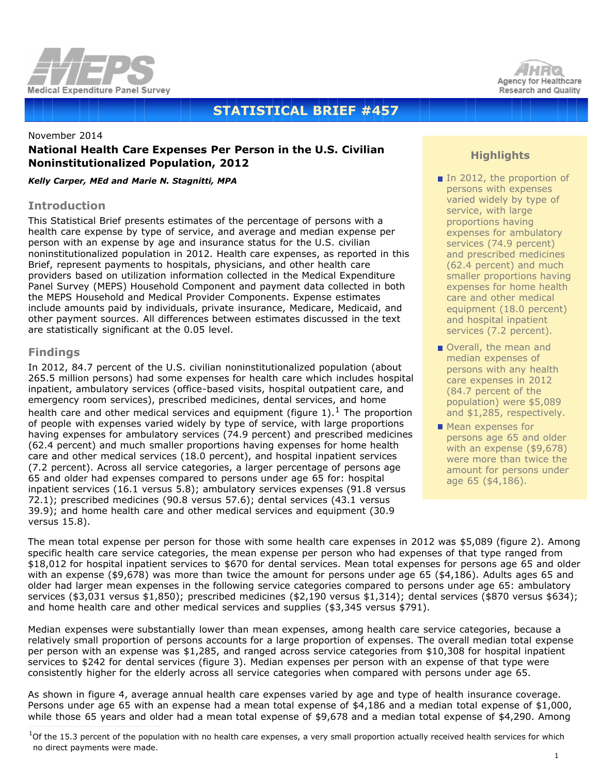



# **STATISTICAL BRIEF #457**

# November 2014 **National Health Care Expenses Per Person in the U.S. Civilian Noninstitutionalized Population, 2012**

*Kelly Carper, MEd and Marie N. Stagnitti, MPA*

#### **Introduction**

This Statistical Brief presents estimates of the percentage of persons with a health care expense by type of service, and average and median expense per person with an expense by age and insurance status for the U.S. civilian noninstitutionalized population in 2012. Health care expenses, as reported in this Brief, represent payments to hospitals, physicians, and other health care providers based on utilization information collected in the Medical Expenditure Panel Survey (MEPS) Household Component and payment data collected in both the MEPS Household and Medical Provider Components. Expense estimates include amounts paid by individuals, private insurance, Medicare, Medicaid, and other payment sources. All differences between estimates discussed in the text are statistically significant at the 0.05 level.

# **Findings**

In 2012, 84.7 percent of the U.S. civilian noninstitutionalized population (about 265.5 million persons) had some expenses for health care which includes hospital inpatient, ambulatory services (office-based visits, hospital outpatient care, and emergency room services), prescribed medicines, dental services, and home health care and other medical services and equipment (figure  $1$ ).<sup>1</sup> The proportion of people with expenses varied widely by type of service, with large proportions having expenses for ambulatory services (74.9 percent) and prescribed medicines (62.4 percent) and much smaller proportions having expenses for home health care and other medical services (18.0 percent), and hospital inpatient services (7.2 percent). Across all service categories, a larger percentage of persons age 65 and older had expenses compared to persons under age 65 for: hospital inpatient services (16.1 versus 5.8); ambulatory services expenses (91.8 versus 72.1); prescribed medicines (90.8 versus 57.6); dental services (43.1 versus 39.9); and home health care and other medical services and equipment (30.9 versus 15.8).

# **Highlights**

- In 2012, the proportion of persons with expenses varied widely by type of service, with large proportions having expenses for ambulatory services (74.9 percent) and prescribed medicines (62.4 percent) and much smaller proportions having expenses for home health care and other medical equipment (18.0 percent) and hospital inpatient services (7.2 percent).
- Overall, the mean and median expenses of persons with any health care expenses in 2012 (84.7 percent of the population) were \$5,089 and \$1,285, respectively.
- $\blacksquare$  Mean expenses for persons age 65 and older with an expense (\$9,678) were more than twice the amount for persons under age 65 (\$4,186).

The mean total expense per person for those with some health care expenses in 2012 was \$5,089 (figure 2). Among specific health care service categories, the mean expense per person who had expenses of that type ranged from \$18,012 for hospital inpatient services to \$670 for dental services. Mean total expenses for persons age 65 and older with an expense (\$9,678) was more than twice the amount for persons under age 65 (\$4,186). Adults ages 65 and older had larger mean expenses in the following service categories compared to persons under age 65: ambulatory services (\$3,031 versus \$1,850); prescribed medicines (\$2,190 versus \$1,314); dental services (\$870 versus \$634); and home health care and other medical services and supplies (\$3,345 versus \$791).

Median expenses were substantially lower than mean expenses, among health care service categories, because a relatively small proportion of persons accounts for a large proportion of expenses. The overall median total expense per person with an expense was \$1,285, and ranged across service categories from \$10,308 for hospital inpatient services to \$242 for dental services (figure 3). Median expenses per person with an expense of that type were consistently higher for the elderly across all service categories when compared with persons under age 65.

As shown in figure 4, average annual health care expenses varied by age and type of health insurance coverage. Persons under age 65 with an expense had a mean total expense of \$4,186 and a median total expense of \$1,000, while those 65 years and older had a mean total expense of \$9,678 and a median total expense of \$4,290. Among

 $1$ Of the 15.3 percent of the population with no health care expenses, a very small proportion actually received health services for which no direct payments were made.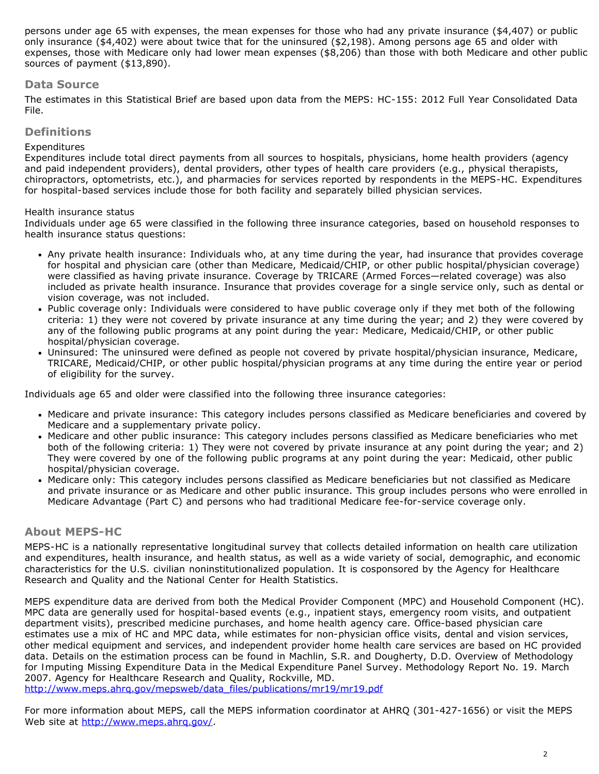persons under age 65 with expenses, the mean expenses for those who had any private insurance (\$4,407) or public only insurance (\$4,402) were about twice that for the uninsured (\$2,198). Among persons age 65 and older with expenses, those with Medicare only had lower mean expenses (\$8,206) than those with both Medicare and other public sources of payment (\$13,890).

### **Data Source**

The estimates in this Statistical Brief are based upon data from the MEPS: HC-155: 2012 Full Year Consolidated Data File.

#### **Definitions**

#### *Expenditures*

Expenditures include total direct payments from all sources to hospitals, physicians, home health providers (agency and paid independent providers), dental providers, other types of health care providers (e.g., physical therapists, chiropractors, optometrists, etc.), and pharmacies for services reported by respondents in the MEPS-HC. Expenditures for hospital-based services include those for both facility and separately billed physician services.

#### *Health insurance status*

Individuals under age 65 were classified in the following three insurance categories, based on household responses to health insurance status questions:

- Any private health insurance: Individuals who, at any time during the year, had insurance that provides coverage for hospital and physician care (other than Medicare, Medicaid/CHIP, or other public hospital/physician coverage) were classified as having private insurance. Coverage by TRICARE (Armed Forces—related coverage) was also included as private health insurance. Insurance that provides coverage for a single service only, such as dental or vision coverage, was not included.
- Public coverage only: Individuals were considered to have public coverage only if they met both of the following criteria: 1) they were not covered by private insurance at any time during the year; and 2) they were covered by any of the following public programs at any point during the year: Medicare, Medicaid/CHIP, or other public hospital/physician coverage.
- Uninsured: The uninsured were defined as people not covered by private hospital/physician insurance, Medicare, TRICARE, Medicaid/CHIP, or other public hospital/physician programs at any time during the entire year or period of eligibility for the survey.

Individuals age 65 and older were classified into the following three insurance categories:

- Medicare and private insurance: This category includes persons classified as Medicare beneficiaries and covered by Medicare and a supplementary private policy.
- Medicare and other public insurance: This category includes persons classified as Medicare beneficiaries who met both of the following criteria: 1) They were not covered by private insurance at any point during the year; and 2) They were covered by one of the following public programs at any point during the year: Medicaid, other public hospital/physician coverage.
- Medicare only: This category includes persons classified as Medicare beneficiaries but not classified as Medicare and private insurance or as Medicare and other public insurance. This group includes persons who were enrolled in Medicare Advantage (Part C) and persons who had traditional Medicare fee-for-service coverage only.

#### **About MEPS-HC**

MEPS-HC is a nationally representative longitudinal survey that collects detailed information on health care utilization and expenditures, health insurance, and health status, as well as a wide variety of social, demographic, and economic characteristics for the U.S. civilian noninstitutionalized population. It is cosponsored by the Agency for Healthcare Research and Quality and the National Center for Health Statistics.

MEPS expenditure data are derived from both the Medical Provider Component (MPC) and Household Component (HC). MPC data are generally used for hospital-based events (e.g., inpatient stays, emergency room visits, and outpatient department visits), prescribed medicine purchases, and home health agency care. Office-based physician care estimates use a mix of HC and MPC data, while estimates for non-physician office visits, dental and vision services, other medical equipment and services, and independent provider home health care services are based on HC provided data. Details on the estimation process can be found in Machlin, S.R. and Dougherty, D.D. *Overview of Methodology for Imputing Missing Expenditure Data in the Medical Expenditure Panel Survey*. Methodology Report No. 19. March 2007. Agency for Healthcare Research and Quality, Rockville, MD. [http://www.meps.ahrq.gov/mepsweb/data\\_files/publications/mr19/mr19.pdf](http://www.meps.ahrq.gov/mepsweb/data_files/publications/mr19/mr19.pdf)

For more information about MEPS, call the MEPS information coordinator at AHRQ (301-427-1656) or visit the MEPS Web site at http://www.meps.ahrg.gov/.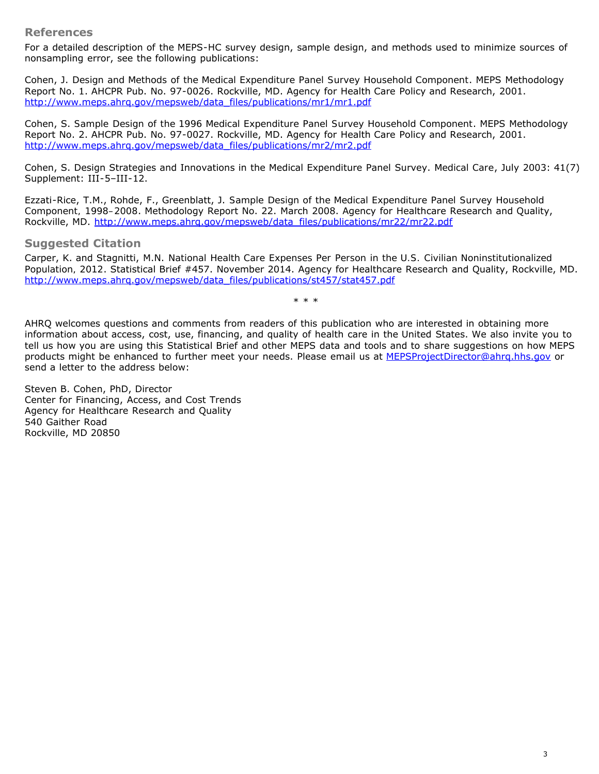#### **References**

For a detailed description of the MEPS-HC survey design, sample design, and methods used to minimize sources of nonsampling error, see the following publications:

Cohen, J. *Design and Methods of the Medical Expenditure Panel Survey Household Component*. MEPS Methodology Report No. 1. AHCPR Pub. No. 97-0026. Rockville, MD. Agency for Health Care Policy and Research, 2001. [http://www.meps.ahrq.gov/mepsweb/data\\_files/publications/mr1/mr1.pdf](http://www.meps.ahrq.gov/mepsweb/data_files/publications/mr1/mr1.pdf)

Cohen, S. *Sample Design of the 1996 Medical Expenditure Panel Survey Household Component*. MEPS Methodology Report No. 2. AHCPR Pub. No. 97-0027. Rockville, MD. Agency for Health Care Policy and Research, 2001. [http://www.meps.ahrq.gov/mepsweb/data\\_files/publications/mr2/mr2.pdf](http://www.meps.ahrq.gov/mepsweb/data_files/publications/mr2/mr2.pdf)

Cohen, S. Design Strategies and Innovations in the Medical Expenditure Panel Survey. *Medical Care*, July 2003: 41(7) Supplement: III-5–III-12.

Ezzati-Rice, T.M., Rohde, F., Greenblatt, J. *Sample Design of the Medical Expenditure Panel Survey Household Component, 1998–2008*. Methodology Report No. 22. March 2008. Agency for Healthcare Research and Quality, Rockville, MD. [http://www.meps.ahrq.gov/mepsweb/data\\_files/publications/mr22/mr22.pdf](http://www.meps.ahrq.gov/mepsweb/data_files/publications/mr22/mr22.pdf)

#### **Suggested Citation**

Carper, K. and Stagnitti, M.N. *National Health Care Expenses Per Person in the U.S. Civilian Noninstitutionalized Population, 2012*. Statistical Brief #457. November 2014. Agency for Healthcare Research and Quality, Rockville, MD. [http://www.meps.ahrq.gov/mepsweb/data\\_files/publications/st457/stat457.pdf](http://www.meps.ahrq.gov/mepsweb/data_files/publications/st457/stat457.pdf)

\* \* \*

AHRQ welcomes questions and comments from readers of this publication who are interested in obtaining more information about access, cost, use, financing, and quality of health care in the United States. We also invite you to tell us how you are using this Statistical Brief and other MEPS data and tools and to share suggestions on how MEPS products might be enhanced to further meet your needs. Please email us at [MEPSProjectDirector@ahrq.hhs.gov](mailto:MEPSProjectDirector@ahrq.hhs.gov) or send a letter to the address below:

Steven B. Cohen, PhD, Director Center for Financing, Access, and Cost Trends Agency for Healthcare Research and Quality 540 Gaither Road Rockville, MD 20850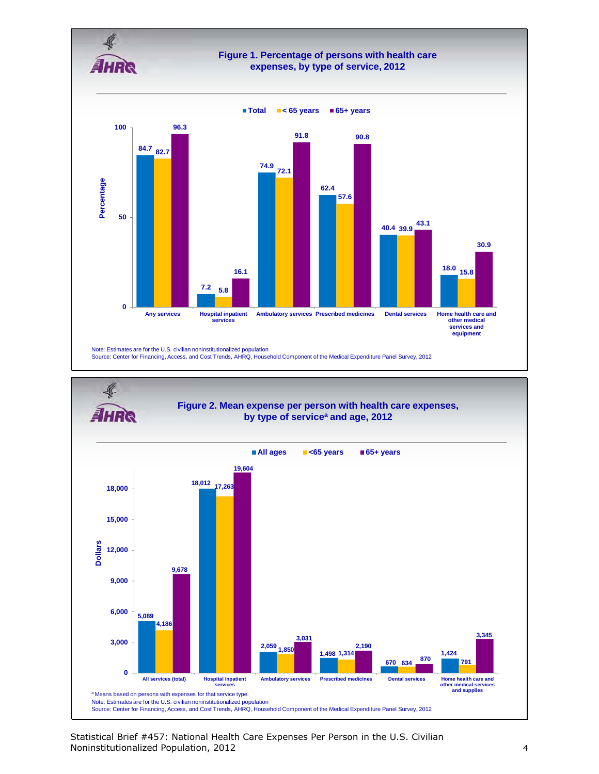



Statistical Brief #457: National Health Care Expenses Per Person in the U.S. Civilian Noninstitutionalized Population, 2012 4